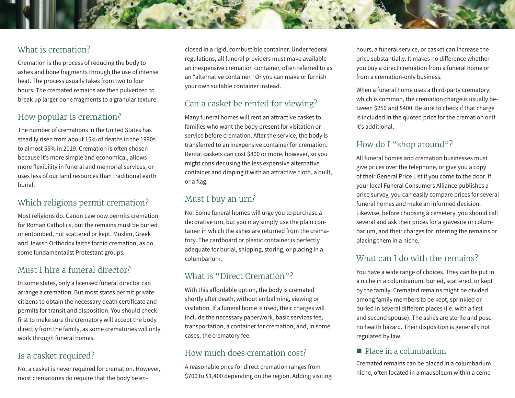# What is cremation?

Cremation is the process of reducing the body to ashes and bone fragments through the use of intense heat. The process usually takes from two to four hours. The cremated remains are then pulverized to break up larger bone fragments to a granular texture.

# How popular is cremation?

The number of cremations in the United States has steadily risen from about 15% of deaths in the 1990s to almost 55% in 2019. Cremation is often chosen because it's more simple and economical, allows more flexibility in funeral and memorial services, or uses less of our land resources than traditional earth burial.

# Which religions permit cremation?

Most religions do. Canon Law now permits cremation for Roman Catholics, but the remains must be buried or entombed, not scattered or kept. Muslim, Greek and Jewish Orthodox faiths forbid cremation, as do some fundamentalist Protestant groups.

## Must I hire a funeral director?

In some states, only a licensed funeral director can arrange a cremation. But most states permit private citizens to obtain the necessary death certificate and permits for transit and disposition. You should check first to make sure the crematory will accept the body directly from the family, as some crematories will only work through funeral homes.

## Is a casket required?

No, a casket is never required for cremation. However, most crematories do require that the body be en-

closed in a rigid, combustible container. Under federal regulations, all funeral providers must make available an inexpensive cremation container, often referred to as an "alternative container." Or you can make or furnish your own suitable container instead.

## Can a casket be rented for viewing?

Many funeral homes will rent an attractive casket to families who want the body present for visitation or service before cremation. After the service, the body is transferred to an inexpensive container for cremation. Rental caskets can cost \$800 or more, however, so you might consider using the less expensive alternative container and draping it with an attractive cloth, a quilt, or a flag.

# Must I buy an urn?

No. Some funeral homes will urge you to purchase a decorative urn, but you may simply use the plain container in which the ashes are returned from the crematory. The cardboard or plastic container is perfectly adequate for burial, shipping, storing, or placing in a columbarium.

# What is "Direct Cremation"?

With this affordable option, the body is cremated shortly after death, without embalming, viewing or visitation. If a funeral home is used, their charges will include the necessary paperwork, basic services fee, transportation, a container for cremation, and, in some cases, the crematory fee.

## How much does cremation cost?

A reasonable price for direct cremation ranges from \$700 to \$1,400 depending on the region. Adding visiting hours, a funeral service, or casket can increase the price substantially. It makes no difference whether you buy a direct cremation from a funeral home or from a cremation-only business.

When a funeral home uses a third-party crematory, which is common, the cremation charge is usually between \$250 and \$400. Be sure to check if that charge is included in the quoted price for the cremation or if it's additional.

# How do I "shop around"?

All funeral homes and cremation businesses must give prices over the telephone, or give you a copy of their General Price List if you come to the door. If your local Funeral Consumers Alliance publishes a price survey, you can easily compare prices for several funeral homes and make an informed decision. Likewise, before choosing a cemetery, you should call several and ask their prices for a gravesite or columbarium, and their charges for interring the remains or placing them in a niche.

# What can I do with the remains?

You have a wide range of choices. They can be put in a niche in a columbarium, buried, scattered, or kept by the family. Cremated remains might be divided among family members to be kept, sprinkled or buried in several different places (i.e. with a first and second spouse). The ashes are sterile and pose no health hazard. Their disposition is generally not regulated by law.

#### **Place in a columbarium**

Cremated remains can be placed in a columbarium niche, often located in a mausoleum within a ceme-